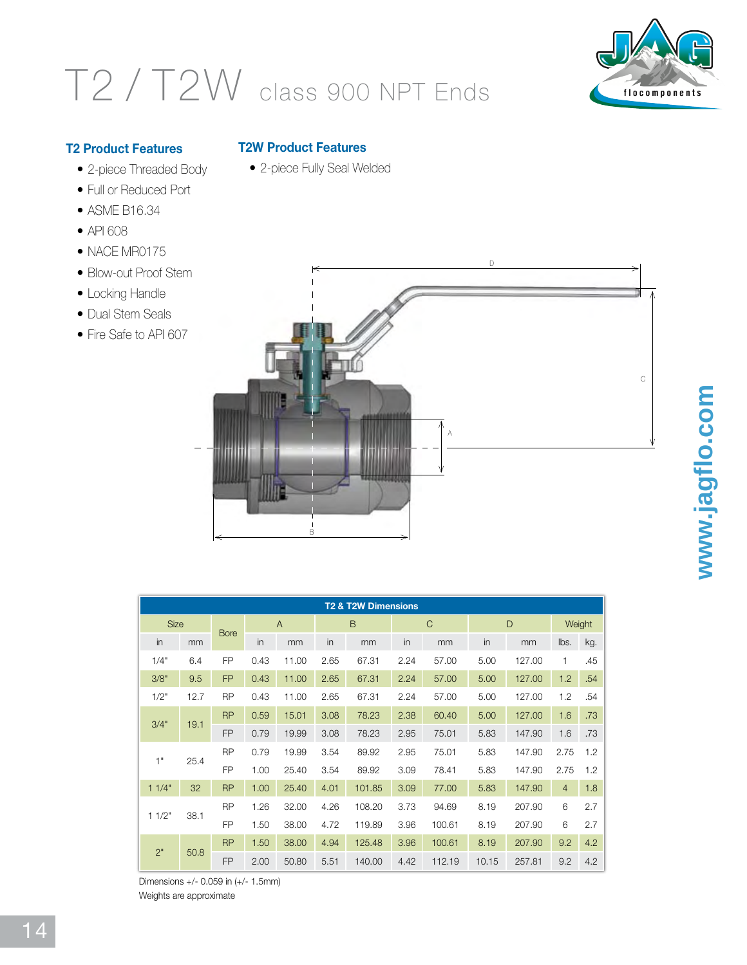## T2 / T2W class 900 NPT Ends



**www.jagflo.com**

www.jagflo.com

## **T2 Product Features**

- 2-piece Threaded Body
- Full or Reduced Port •
- ASME B16.34 •
- API 608
- NACE MR0175
- Blow-out Proof Stem
- Locking Handle
- Dual Stem Seals
- Fire Safe to API 607

## **T2W Product Features**

• 2-piece Fully Seal Welded



| <b>T2 &amp; T2W Dimensions</b> |      |             |                |       |      |        |      |              |       |        |                |     |
|--------------------------------|------|-------------|----------------|-------|------|--------|------|--------------|-------|--------|----------------|-----|
| <b>Size</b>                    |      |             | $\overline{A}$ |       |      | B      |      | $\mathsf{C}$ | D     |        | Weight         |     |
| in                             | mm   | <b>Bore</b> | in             | mm    | in   | mm     | in   | mm           | in    | mm     | lbs.           | kg. |
| 1/4"                           | 6.4  | <b>FP</b>   | 0.43           | 11.00 | 2.65 | 67.31  | 2.24 | 57.00        | 5.00  | 127.00 | 1              | .45 |
| 3/8"                           | 9.5  | <b>FP</b>   | 0.43           | 11.00 | 2.65 | 67.31  | 2.24 | 57.00        | 5.00  | 127.00 | 1.2            | .54 |
| 1/2"                           | 12.7 | <b>RP</b>   | 0.43           | 11.00 | 2.65 | 67.31  | 2.24 | 57.00        | 5.00  | 127.00 | 1.2            | .54 |
| 3/4"                           | 19.1 | <b>RP</b>   | 0.59           | 15.01 | 3.08 | 78.23  | 2.38 | 60.40        | 5.00  | 127.00 | 1.6            | .73 |
|                                |      | <b>FP</b>   | 0.79           | 19.99 | 3.08 | 78.23  | 2.95 | 75.01        | 5.83  | 147.90 | 1.6            | .73 |
| 1"                             | 25.4 | <b>RP</b>   | 0.79           | 19.99 | 3.54 | 89.92  | 2.95 | 75.01        | 5.83  | 147.90 | 2.75           | 1.2 |
|                                |      | <b>FP</b>   | 1.00           | 25.40 | 3.54 | 89.92  | 3.09 | 78.41        | 5.83  | 147.90 | 2.75           | 1.2 |
| 11/4"                          | 32   | <b>RP</b>   | 1.00           | 25.40 | 4.01 | 101.85 | 3.09 | 77.00        | 5.83  | 147.90 | $\overline{4}$ | 1.8 |
| 11/2"                          | 38.1 | <b>RP</b>   | 1.26           | 32.00 | 4.26 | 108.20 | 3.73 | 94.69        | 8.19  | 207.90 | 6              | 2.7 |
|                                |      | <b>FP</b>   | 1.50           | 38.00 | 4.72 | 119.89 | 3.96 | 100.61       | 8.19  | 207.90 | 6              | 2.7 |
| 2"                             |      | <b>RP</b>   | 1.50           | 38.00 | 4.94 | 125.48 | 3.96 | 100.61       | 8.19  | 207.90 | 9.2            | 4.2 |
|                                | 50.8 | <b>FP</b>   | 2.00           | 50.80 | 5.51 | 140.00 | 4.42 | 112.19       | 10.15 | 257.81 | 9.2            | 4.2 |

Dimensions +/- 0.059 in (+/- 1.5mm)

Weights are approximate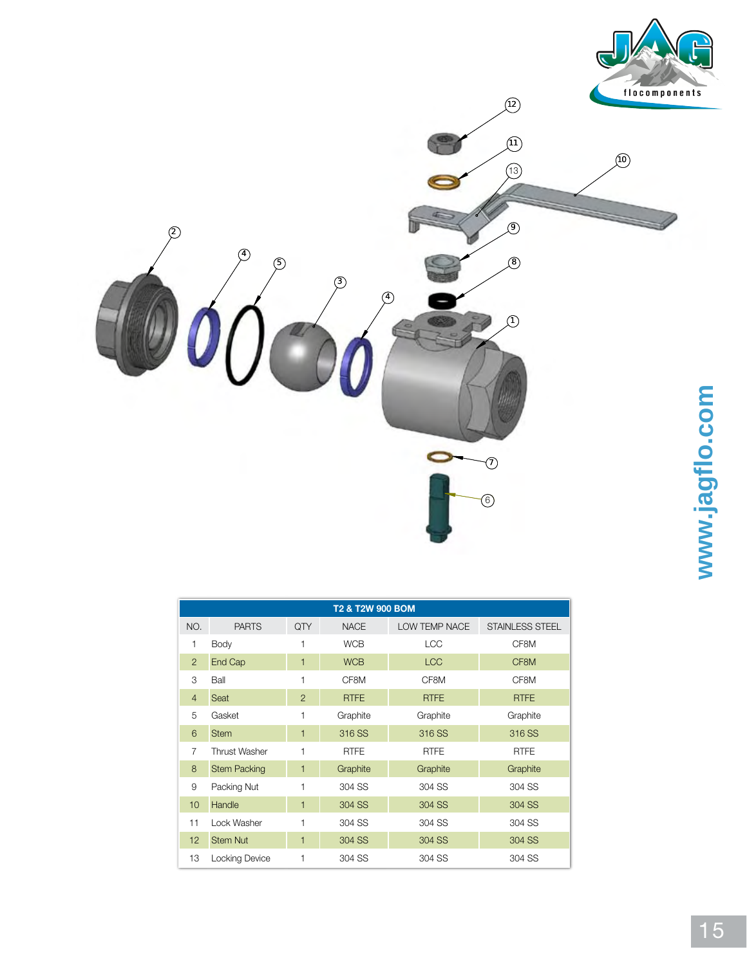

| T2 & T2W 900 BOM |                      |                |             |               |                 |  |  |  |
|------------------|----------------------|----------------|-------------|---------------|-----------------|--|--|--|
| NO.              | <b>PARTS</b>         | QTY            | <b>NACE</b> | LOW TEMP NACE | STAINLESS STEEL |  |  |  |
| 1                | Body                 |                | <b>WCB</b>  | <b>LCC</b>    | CF8M            |  |  |  |
| $\overline{2}$   | End Cap              | 1              | <b>WCB</b>  | <b>LCC</b>    | CF8M            |  |  |  |
| 3                | Ball                 | 1              | CF8M        | CF8M          | CF8M            |  |  |  |
| $\overline{4}$   | Seat                 | $\overline{2}$ | <b>RTFE</b> | <b>RTFE</b>   | <b>RTFE</b>     |  |  |  |
| 5                | Gasket               | 1              | Graphite    | Graphite      | Graphite        |  |  |  |
| 6                | <b>Stem</b>          | 1              | 316 SS      | 316 SS        | 316 SS          |  |  |  |
| $\overline{7}$   | <b>Thrust Washer</b> | 1              | <b>RTFE</b> | <b>RTFE</b>   | <b>RTFE</b>     |  |  |  |
| 8                | <b>Stem Packing</b>  | 1              | Graphite    | Graphite      | Graphite        |  |  |  |
| 9                | Packing Nut          | 1              | 304 SS      | 304 SS        | 304 SS          |  |  |  |
| 10               | Handle               | 1              | 304 SS      | 304 SS        | 304 SS          |  |  |  |
| 11               | Lock Washer          | 1              | 304 SS      | 304 SS        | 304 SS          |  |  |  |
| 12               | <b>Stem Nut</b>      | 1              | 304 SS      | 304 SS        | 304 SS          |  |  |  |
| 13               | Locking Device       |                | 304 SS      | 304 SS        | 304 SS          |  |  |  |